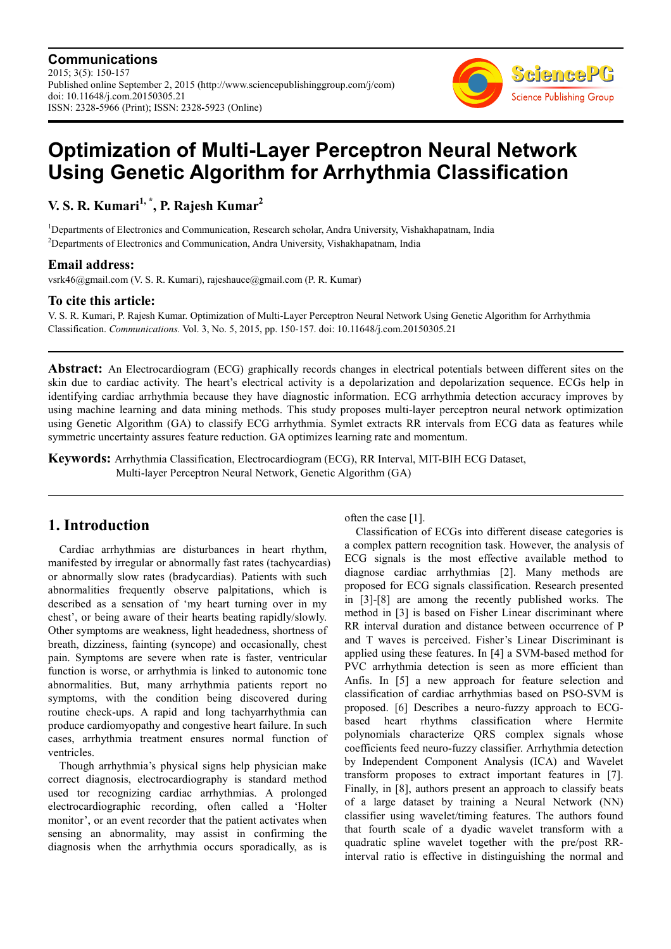**Communications** 2015; 3(5): 150-157 Published online September 2, 2015 (http://www.sciencepublishinggroup.com/j/com) doi: 10.11648/j.com.20150305.21 ISSN: 2328-5966 (Print); ISSN: 2328-5923 (Online)



# **Optimization of Multi-Layer Perceptron Neural Network Using Genetic Algorithm for Arrhythmia Classification**

**V. S. R. Kumari1, \*, P. Rajesh Kumar<sup>2</sup>**

<sup>1</sup>Departments of Electronics and Communication, Research scholar, Andra University, Vishakhapatnam, India <sup>2</sup>Departments of Electronics and Communication, Andra University, Vishakhapatnam, India

# **Email address:**

vsrk46@gmail.com (V. S. R. Kumari), rajeshauce@gmail.com (P. R. Kumar)

# **To cite this article:**

V. S. R. Kumari, P. Rajesh Kumar. Optimization of Multi-Layer Perceptron Neural Network Using Genetic Algorithm for Arrhythmia Classification. *Communications.* Vol. 3, No. 5, 2015, pp. 150-157. doi: 10.11648/j.com.20150305.21

**Abstract:** An Electrocardiogram (ECG) graphically records changes in electrical potentials between different sites on the skin due to cardiac activity. The heart's electrical activity is a depolarization and depolarization sequence. ECGs help in identifying cardiac arrhythmia because they have diagnostic information. ECG arrhythmia detection accuracy improves by using machine learning and data mining methods. This study proposes multi-layer perceptron neural network optimization using Genetic Algorithm (GA) to classify ECG arrhythmia. Symlet extracts RR intervals from ECG data as features while symmetric uncertainty assures feature reduction. GA optimizes learning rate and momentum.

**Keywords:** Arrhythmia Classification, Electrocardiogram (ECG), RR Interval, MIT-BIH ECG Dataset, Multi-layer Perceptron Neural Network, Genetic Algorithm (GA)

# **1. Introduction**

Cardiac arrhythmias are disturbances in heart rhythm, manifested by irregular or abnormally fast rates (tachycardias) or abnormally slow rates (bradycardias). Patients with such abnormalities frequently observe palpitations, which is described as a sensation of 'my heart turning over in my chest', or being aware of their hearts beating rapidly/slowly. Other symptoms are weakness, light headedness, shortness of breath, dizziness, fainting (syncope) and occasionally, chest pain. Symptoms are severe when rate is faster, ventricular function is worse, or arrhythmia is linked to autonomic tone abnormalities. But, many arrhythmia patients report no symptoms, with the condition being discovered during routine check-ups. A rapid and long tachyarrhythmia can produce cardiomyopathy and congestive heart failure. In such cases, arrhythmia treatment ensures normal function of ventricles.

Though arrhythmia's physical signs help physician make correct diagnosis, electrocardiography is standard method used tor recognizing cardiac arrhythmias. A prolonged electrocardiographic recording, often called a 'Holter monitor', or an event recorder that the patient activates when sensing an abnormality, may assist in confirming the diagnosis when the arrhythmia occurs sporadically, as is often the case [1].

Classification of ECGs into different disease categories is a complex pattern recognition task. However, the analysis of ECG signals is the most effective available method to diagnose cardiac arrhythmias [2]. Many methods are proposed for ECG signals classification. Research presented in [3]-[8] are among the recently published works. The method in [3] is based on Fisher Linear discriminant where RR interval duration and distance between occurrence of P and T waves is perceived. Fisher's Linear Discriminant is applied using these features. In [4] a SVM-based method for PVC arrhythmia detection is seen as more efficient than Anfis. In [5] a new approach for feature selection and classification of cardiac arrhythmias based on PSO-SVM is proposed. [6] Describes a neuro-fuzzy approach to ECGbased heart rhythms classification where Hermite polynomials characterize QRS complex signals whose coefficients feed neuro-fuzzy classifier. Arrhythmia detection by Independent Component Analysis (ICA) and Wavelet transform proposes to extract important features in [7]. Finally, in [8], authors present an approach to classify beats of a large dataset by training a Neural Network (NN) classifier using wavelet/timing features. The authors found that fourth scale of a dyadic wavelet transform with a quadratic spline wavelet together with the pre/post RRinterval ratio is effective in distinguishing the normal and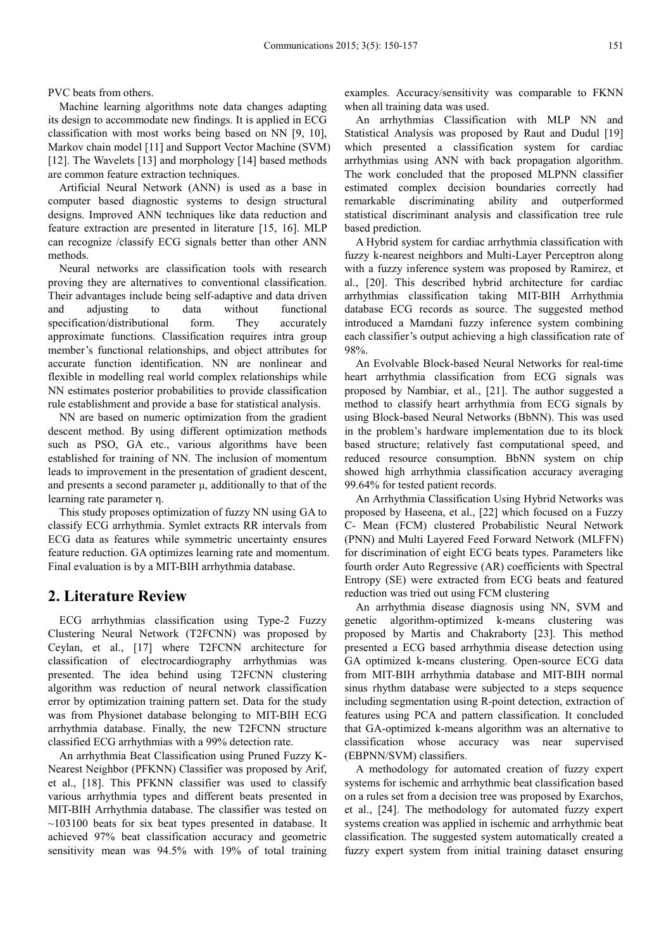PVC beats from others.

Machine learning algorithms note data changes adapting its design to accommodate new findings. It is applied in ECG classification with most works being based on NN [9, 10], Markov chain model [11] and Support Vector Machine (SVM) [12]. The Wavelets [13] and morphology [14] based methods are common feature extraction techniques.

Artificial Neural Network (ANN) is used as a base in computer based diagnostic systems to design structural designs. Improved ANN techniques like data reduction and feature extraction are presented in literature [15, 16]. MLP can recognize /classify ECG signals better than other ANN methods.

Neural networks are classification tools with research proving they are alternatives to conventional classification. Their advantages include being self-adaptive and data driven and adjusting to data without functional specification/distributional form. They accurately approximate functions. Classification requires intra group member's functional relationships, and object attributes for accurate function identification. NN are nonlinear and flexible in modelling real world complex relationships while NN estimates posterior probabilities to provide classification rule establishment and provide a base for statistical analysis.

NN are based on numeric optimization from the gradient descent method. By using different optimization methods such as PSO, GA etc., various algorithms have been established for training of NN. The inclusion of momentum leads to improvement in the presentation of gradient descent, and presents a second parameter  $\mu$ , additionally to that of the learning rate parameter η.

This study proposes optimization of fuzzy NN using GA to classify ECG arrhythmia. Symlet extracts RR intervals from ECG data as features while symmetric uncertainty ensures feature reduction. GA optimizes learning rate and momentum. Final evaluation is by a MIT-BIH arrhythmia database.

# **2. Literature Review**

ECG arrhythmias classification using Type-2 Fuzzy Clustering Neural Network (T2FCNN) was proposed by Ceylan, et al., [17] where T2FCNN architecture for classification of electrocardiography arrhythmias was presented. The idea behind using T2FCNN clustering algorithm was reduction of neural network classification error by optimization training pattern set. Data for the study was from Physionet database belonging to MIT-BIH ECG arrhythmia database. Finally, the new T2FCNN structure classified ECG arrhythmias with a 99% detection rate.

An arrhythmia Beat Classification using Pruned Fuzzy K-Nearest Neighbor (PFKNN) Classifier was proposed by Arif, et al., [18]. This PFKNN classifier was used to classify various arrhythmia types and different beats presented in MIT-BIH Arrhythmia database. The classifier was tested on  $\sim$ 103100 beats for six beat types presented in database. It achieved 97% beat classification accuracy and geometric sensitivity mean was 94.5% with 19% of total training examples. Accuracy/sensitivity was comparable to FKNN when all training data was used.

An arrhythmias Classification with MLP NN and Statistical Analysis was proposed by Raut and Dudul [19] which presented a classification system for cardiac arrhythmias using ANN with back propagation algorithm. The work concluded that the proposed MLPNN classifier estimated complex decision boundaries correctly had remarkable discriminating ability and outperformed statistical discriminant analysis and classification tree rule based prediction.

A Hybrid system for cardiac arrhythmia classification with fuzzy k-nearest neighbors and Multi-Layer Perceptron along with a fuzzy inference system was proposed by Ramirez, et al., [20]. This described hybrid architecture for cardiac arrhythmias classification taking MIT-BIH Arrhythmia database ECG records as source. The suggested method introduced a Mamdani fuzzy inference system combining each classifier's output achieving a high classification rate of 98%.

An Evolvable Block-based Neural Networks for real-time heart arrhythmia classification from ECG signals was proposed by Nambiar, et al., [21]. The author suggested a method to classify heart arrhythmia from ECG signals by using Block-based Neural Networks (BbNN). This was used in the problem's hardware implementation due to its block based structure; relatively fast computational speed, and reduced resource consumption. BbNN system on chip showed high arrhythmia classification accuracy averaging 99.64% for tested patient records.

An Arrhythmia Classification Using Hybrid Networks was proposed by Haseena, et al., [22] which focused on a Fuzzy C- Mean (FCM) clustered Probabilistic Neural Network (PNN) and Multi Layered Feed Forward Network (MLFFN) for discrimination of eight ECG beats types. Parameters like fourth order Auto Regressive (AR) coefficients with Spectral Entropy (SE) were extracted from ECG beats and featured reduction was tried out using FCM clustering

An arrhythmia disease diagnosis using NN, SVM and genetic algorithm-optimized k-means clustering was proposed by Martis and Chakraborty [23]. This method presented a ECG based arrhythmia disease detection using GA optimized k-means clustering. Open-source ECG data from MIT-BIH arrhythmia database and MIT-BIH normal sinus rhythm database were subjected to a steps sequence including segmentation using R-point detection, extraction of features using PCA and pattern classification. It concluded that GA-optimized k-means algorithm was an alternative to classification whose accuracy was near supervised (EBPNN/SVM) classifiers.

A methodology for automated creation of fuzzy expert systems for ischemic and arrhythmic beat classification based on a rules set from a decision tree was proposed by Exarchos, et al., [24]. The methodology for automated fuzzy expert systems creation was applied in ischemic and arrhythmic beat classification. The suggested system automatically created a fuzzy expert system from initial training dataset ensuring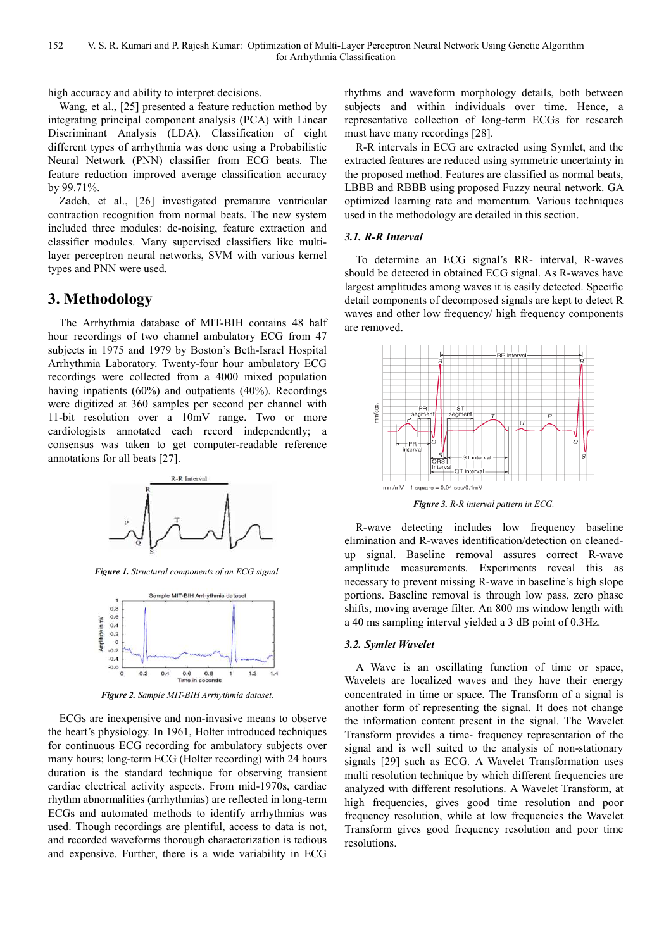high accuracy and ability to interpret decisions.

Wang, et al., [25] presented a feature reduction method by integrating principal component analysis (PCA) with Linear Discriminant Analysis (LDA). Classification of eight different types of arrhythmia was done using a Probabilistic Neural Network (PNN) classifier from ECG beats. The feature reduction improved average classification accuracy by 99.71%.

Zadeh, et al., [26] investigated premature ventricular contraction recognition from normal beats. The new system included three modules: de-noising, feature extraction and classifier modules. Many supervised classifiers like multilayer perceptron neural networks, SVM with various kernel types and PNN were used.

# **3. Methodology**

The Arrhythmia database of MIT-BIH contains 48 half hour recordings of two channel ambulatory ECG from 47 subjects in 1975 and 1979 by Boston's Beth-Israel Hospital Arrhythmia Laboratory. Twenty-four hour ambulatory ECG recordings were collected from a 4000 mixed population having inpatients (60%) and outpatients (40%). Recordings were digitized at 360 samples per second per channel with 11-bit resolution over a 10mV range. Two or more cardiologists annotated each record independently; a consensus was taken to get computer-readable reference annotations for all beats [27].



*Figure 1. Structural components of an ECG signal.* 



*Figure 2. Sample MIT-BIH Arrhythmia dataset.* 

ECGs are inexpensive and non-invasive means to observe the heart's physiology. In 1961, Holter introduced techniques for continuous ECG recording for ambulatory subjects over many hours; long-term ECG (Holter recording) with 24 hours duration is the standard technique for observing transient cardiac electrical activity aspects. From mid-1970s, cardiac rhythm abnormalities (arrhythmias) are reflected in long-term ECGs and automated methods to identify arrhythmias was used. Though recordings are plentiful, access to data is not, and recorded waveforms thorough characterization is tedious and expensive. Further, there is a wide variability in ECG

rhythms and waveform morphology details, both between subjects and within individuals over time. Hence, a representative collection of long-term ECGs for research must have many recordings [28].

R-R intervals in ECG are extracted using Symlet, and the extracted features are reduced using symmetric uncertainty in the proposed method. Features are classified as normal beats, LBBB and RBBB using proposed Fuzzy neural network. GA optimized learning rate and momentum. Various techniques used in the methodology are detailed in this section.

#### *3.1. R-R Interval*

To determine an ECG signal's RR- interval, R-waves should be detected in obtained ECG signal. As R-waves have largest amplitudes among waves it is easily detected. Specific detail components of decomposed signals are kept to detect R waves and other low frequency/ high frequency components are removed.



*Figure 3. R-R interval pattern in ECG.* 

R-wave detecting includes low frequency baseline elimination and R-waves identification/detection on cleanedup signal. Baseline removal assures correct R-wave amplitude measurements. Experiments reveal this as necessary to prevent missing R-wave in baseline's high slope portions. Baseline removal is through low pass, zero phase shifts, moving average filter. An 800 ms window length with a 40 ms sampling interval yielded a 3 dB point of 0.3Hz.

#### *3.2. Symlet Wavelet*

A Wave is an oscillating function of time or space, Wavelets are localized waves and they have their energy concentrated in time or space. The Transform of a signal is another form of representing the signal. It does not change the information content present in the signal. The Wavelet Transform provides a time- frequency representation of the signal and is well suited to the analysis of non-stationary signals [29] such as ECG. A Wavelet Transformation uses multi resolution technique by which different frequencies are analyzed with different resolutions. A Wavelet Transform, at high frequencies, gives good time resolution and poor frequency resolution, while at low frequencies the Wavelet Transform gives good frequency resolution and poor time resolutions.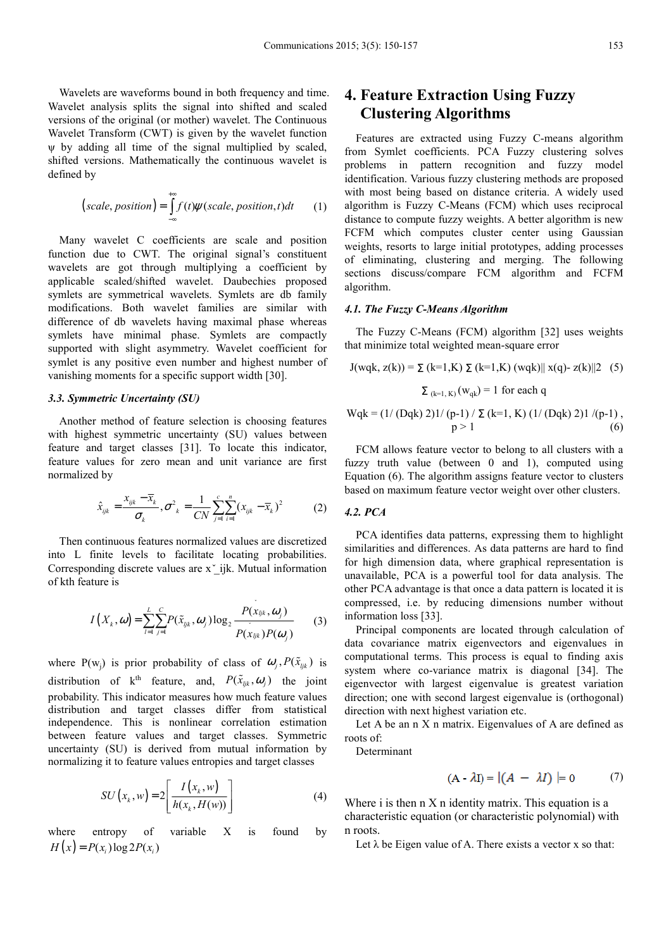Wavelets are waveforms bound in both frequency and time. Wavelet analysis splits the signal into shifted and scaled versions of the original (or mother) wavelet. The Continuous Wavelet Transform (CWT) is given by the wavelet function ψ by adding all time of the signal multiplied by scaled, shifted versions. Mathematically the continuous wavelet is defined by

$$
(scale, position) = \int_{-\infty}^{+\infty} f(t)\psi(scale, position, t)dt
$$
 (1)

Many wavelet C coefficients are scale and position function due to CWT. The original signal's constituent wavelets are got through multiplying a coefficient by applicable scaled/shifted wavelet. Daubechies proposed symlets are symmetrical wavelets. Symlets are db family modifications. Both wavelet families are similar with difference of db wavelets having maximal phase whereas symlets have minimal phase. Symlets are compactly supported with slight asymmetry. Wavelet coefficient for symlet is any positive even number and highest number of vanishing moments for a specific support width [30].

#### *3.3. Symmetric Uncertainty (SU)*

Another method of feature selection is choosing features with highest symmetric uncertainty (SU) values between feature and target classes [31]. To locate this indicator, feature values for zero mean and unit variance are first normalized by

$$
\hat{x}_{ijk} = \frac{x_{ijk} - \overline{x}_k}{\sigma_k}, \sigma_k^2 = \frac{1}{CN} \sum_{j=1}^{C} \sum_{i=1}^{n} (x_{ijk} - \overline{x}_k)^2
$$
 (2)

Then continuous features normalized values are discretized into L finite levels to facilitate locating probabilities. Corresponding discrete values are  $x^*$  ijk. Mutual information of kth feature is

$$
I(X_k, \omega) = \sum_{l=1}^L \sum_{j=1}^C P(\tilde{x}_{ljk}, \omega_j) \log_2 \frac{P(x_{ljk}, \omega_j)}{P(x_{ljk})P(\omega_j)}
$$
(3)

where  $P(w_j)$  is prior probability of class of  $\omega_j$ ,  $P(\tilde{x}_{ijk})$  is distribution of  $k^{th}$  feature, and,  $P(\tilde{x}_{ijk}, \omega_j)$  the joint probability. This indicator measures how much feature values distribution and target classes differ from statistical independence. This is nonlinear correlation estimation between feature values and target classes. Symmetric uncertainty (SU) is derived from mutual information by normalizing it to feature values entropies and target classes

$$
SU(x_k, w) = 2\left[\frac{I(x_k, w)}{h(x_k, H(w))}\right]
$$
\n(4)

where entropy of variable X is found by  $H(x) = P(x_i) \log 2P(x_i)$ 

# **4. Feature Extraction Using Fuzzy Clustering Algorithms**

Features are extracted using Fuzzy C-means algorithm from Symlet coefficients. PCA Fuzzy clustering solves problems in pattern recognition and fuzzy model identification. Various fuzzy clustering methods are proposed with most being based on distance criteria. A widely used algorithm is Fuzzy C-Means (FCM) which uses reciprocal distance to compute fuzzy weights. A better algorithm is new FCFM which computes cluster center using Gaussian weights, resorts to large initial prototypes, adding processes of eliminating, clustering and merging. The following sections discuss/compare FCM algorithm and FCFM algorithm.

#### *4.1. The Fuzzy C-Means Algorithm*

The Fuzzy C-Means (FCM) algorithm [32] uses weights that minimize total weighted mean-square error

$$
J(wqk, z(k)) = \sum (k=1, K) \sum (k=1, K) (wqk) || x(q) - z(k) || 2 (5)
$$

$$
\Sigma_{(k=1, K)}(w_{qk}) = 1
$$
 for each q

$$
Wqk = (1/(Dqk) 2)1/(p-1)/\sum (k=1, K) (1/(Dqk) 2)1/(p-1),
$$
  
 
$$
p > 1
$$
 (6)

FCM allows feature vector to belong to all clusters with a fuzzy truth value (between 0 and 1), computed using Equation (6). The algorithm assigns feature vector to clusters based on maximum feature vector weight over other clusters.

#### *4.2. PCA*

PCA identifies data patterns, expressing them to highlight similarities and differences. As data patterns are hard to find for high dimension data, where graphical representation is unavailable, PCA is a powerful tool for data analysis. The other PCA advantage is that once a data pattern is located it is compressed, i.e. by reducing dimensions number without information loss [33].

Principal components are located through calculation of data covariance matrix eigenvectors and eigenvalues in computational terms. This process is equal to finding axis system where co-variance matrix is diagonal [34]. The eigenvector with largest eigenvalue is greatest variation direction; one with second largest eigenvalue is (orthogonal) direction with next highest variation etc.

Let A be an n X n matrix. Eigenvalues of A are defined as roots of:

Determinant

$$
(A - \lambda I) = |(A - \lambda I)| = 0 \tag{7}
$$

Where  $i$  is then  $n X n$  identity matrix. This equation is a characteristic equation (or characteristic polynomial) with n roots.

Let  $\lambda$  be Eigen value of A. There exists a vector x so that: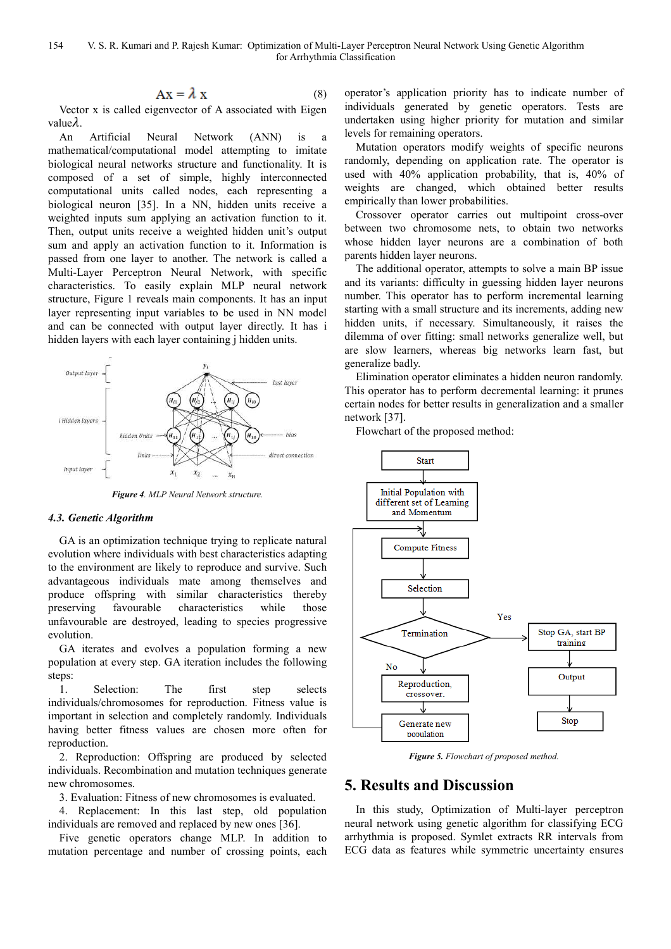$$
Ax = \lambda x \tag{8}
$$

Vector x is called eigenvector of A associated with Eigen  $value $\lambda$$ 

An Artificial Neural Network (ANN) is a mathematical/computational model attempting to imitate biological neural networks structure and functionality. It is composed of a set of simple, highly interconnected computational units called nodes, each representing a biological neuron [35]. In a NN, hidden units receive a weighted inputs sum applying an activation function to it. Then, output units receive a weighted hidden unit's output sum and apply an activation function to it. Information is passed from one layer to another. The network is called a Multi-Layer Perceptron Neural Network, with specific characteristics. To easily explain MLP neural network structure, Figure 1 reveals main components. It has an input layer representing input variables to be used in NN model and can be connected with output layer directly. It has i hidden layers with each layer containing *i* hidden units.



*Figure 4. MLP Neural Network structure.* 

#### *4.3. Genetic Algorithm*

GA is an optimization technique trying to replicate natural evolution where individuals with best characteristics adapting to the environment are likely to reproduce and survive. Such advantageous individuals mate among themselves and produce offspring with similar characteristics thereby preserving favourable characteristics while those unfavourable are destroyed, leading to species progressive evolution.

GA iterates and evolves a population forming a new population at every step. GA iteration includes the following steps:

1. Selection: The first step selects individuals/chromosomes for reproduction. Fitness value is important in selection and completely randomly. Individuals having better fitness values are chosen more often for reproduction.

2. Reproduction: Offspring are produced by selected individuals. Recombination and mutation techniques generate new chromosomes.

3. Evaluation: Fitness of new chromosomes is evaluated.

4. Replacement: In this last step, old population individuals are removed and replaced by new ones [36].

Five genetic operators change MLP. In addition to mutation percentage and number of crossing points, each operator's application priority has to indicate number of individuals generated by genetic operators. Tests are undertaken using higher priority for mutation and similar levels for remaining operators.

Mutation operators modify weights of specific neurons randomly, depending on application rate. The operator is used with 40% application probability, that is, 40% of weights are changed, which obtained better results empirically than lower probabilities.

Crossover operator carries out multipoint cross-over between two chromosome nets, to obtain two networks whose hidden layer neurons are a combination of both parents hidden layer neurons.

The additional operator, attempts to solve a main BP issue and its variants: difficulty in guessing hidden layer neurons number. This operator has to perform incremental learning starting with a small structure and its increments, adding new hidden units, if necessary. Simultaneously, it raises the dilemma of over fitting: small networks generalize well, but are slow learners, whereas big networks learn fast, but generalize badly.

Elimination operator eliminates a hidden neuron randomly. This operator has to perform decremental learning: it prunes certain nodes for better results in generalization and a smaller network [37].

Flowchart of the proposed method:



*Figure 5. Flowchart of proposed method.* 

# **5. Results and Discussion**

In this study, Optimization of Multi-layer perceptron neural network using genetic algorithm for classifying ECG arrhythmia is proposed. Symlet extracts RR intervals from ECG data as features while symmetric uncertainty ensures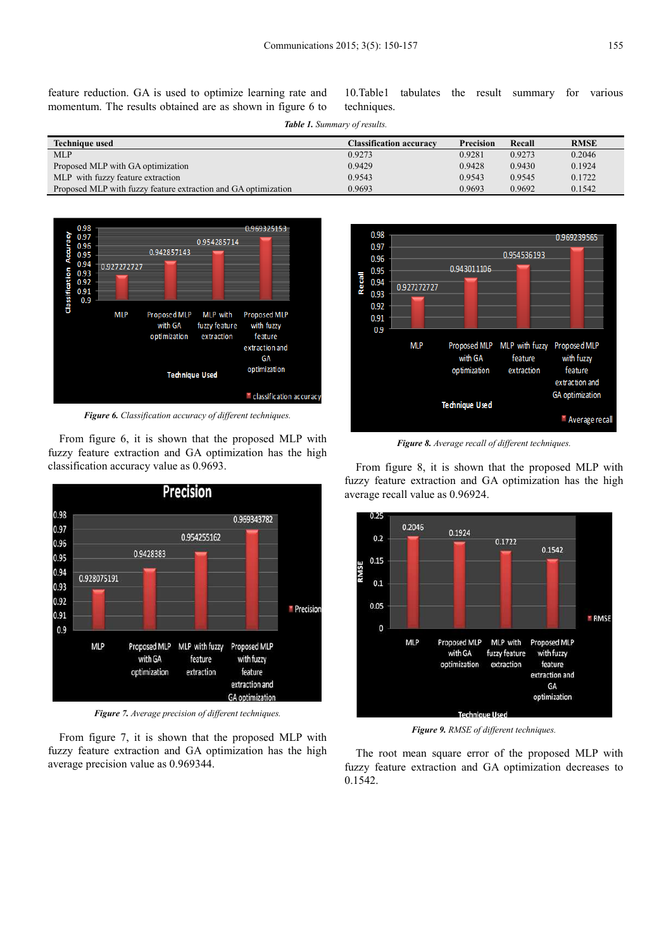feature reduction. GA is used to optimize learning rate and momentum. The results obtained are as shown in figure 6 to 10.Table1 tabulates the result summary for various techniques.

| <b>Table 1.</b> Summary of results.                            |                                |                  |        |             |  |  |
|----------------------------------------------------------------|--------------------------------|------------------|--------|-------------|--|--|
| <b>Technique used</b>                                          | <b>Classification accuracy</b> | <b>Precision</b> | Recall | <b>RMSE</b> |  |  |
| MLP                                                            | 0.9273                         | 0.9281           | 0.9273 | 0.2046      |  |  |
| Proposed MLP with GA optimization                              | 0.9429                         | 0.9428           | 0.9430 | 0.1924      |  |  |
| MLP with fuzzy feature extraction                              | 0.9543                         | 0.9543           | 0.9545 | 0.1722      |  |  |
| Proposed MLP with fuzzy feature extraction and GA optimization | 0.9693                         | 0.9693           | 0.9692 | 0.1542      |  |  |



*Figure 6. Classification accuracy of different techniques.* 

From figure 6, it is shown that the proposed MLP with fuzzy feature extraction and GA optimization has the high classification accuracy value as 0.9693.



*Figure 7. Average precision of different techniques.* 

From figure 7, it is shown that the proposed MLP with fuzzy feature extraction and GA optimization has the high average precision value as 0.969344.



*Figure 8. Average recall of different techniques.* 

From figure 8, it is shown that the proposed MLP with fuzzy feature extraction and GA optimization has the high average recall value as 0.96924.



*Figure 9. RMSE of different techniques.* 

The root mean square error of the proposed MLP with fuzzy feature extraction and GA optimization decreases to 0.1542.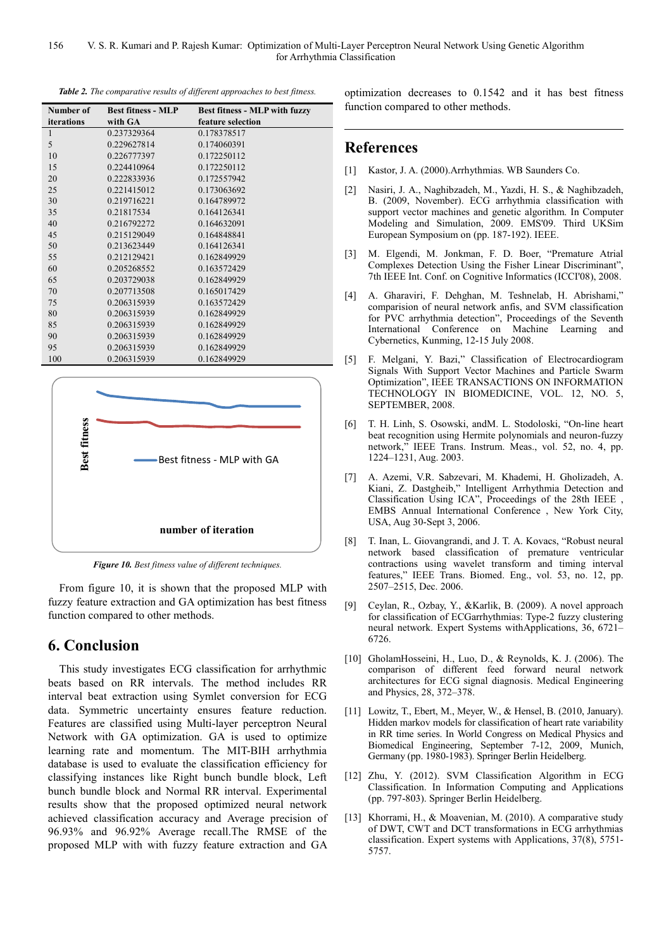| Table 2. The comparative results of different approaches to best fitness. |  |  |  |  |  |  |
|---------------------------------------------------------------------------|--|--|--|--|--|--|
|---------------------------------------------------------------------------|--|--|--|--|--|--|

| Number of    | <b>Best fitness - MLP</b> | <b>Best fitness - MLP with fuzzy</b> |
|--------------|---------------------------|--------------------------------------|
| iterations   | with GA                   | feature selection                    |
| $\mathbf{1}$ | 0.237329364               | 0.178378517                          |
| 5            | 0.229627814               | 0.174060391                          |
| 10           | 0.226777397               | 0.172250112                          |
| 15           | 0.224410964               | 0.172250112                          |
| 20           | 0.222833936               | 0.172557942                          |
| 25           | 0.221415012               | 0.173063692                          |
| 30           | 0.219716221               | 0.164789972                          |
| 35           | 0.21817534                | 0.164126341                          |
| 40           | 0.216792272               | 0.164632091                          |
| 45           | 0.215129049               | 0.164848841                          |
| 50           | 0.213623449               | 0.164126341                          |
| 55           | 0.212129421               | 0.162849929                          |
| 60           | 0.205268552               | 0.163572429                          |
| 65           | 0.203729038               | 0.162849929                          |
| 70           | 0.207713508               | 0.165017429                          |
| 75           | 0.206315939               | 0.163572429                          |
| 80           | 0.206315939               | 0.162849929                          |
| 85           | 0.206315939               | 0.162849929                          |
| 90           | 0.206315939               | 0.162849929                          |
| 95           | 0.206315939               | 0.162849929                          |
| 100          | 0.206315939               | 0.162849929                          |



*Figure 10. Best fitness value of different techniques.* 

From figure 10, it is shown that the proposed MLP with fuzzy feature extraction and GA optimization has best fitness function compared to other methods.

### **6. Conclusion**

This study investigates ECG classification for arrhythmic beats based on RR intervals. The method includes RR interval beat extraction using Symlet conversion for ECG data. Symmetric uncertainty ensures feature reduction. Features are classified using Multi-layer perceptron Neural Network with GA optimization. GA is used to optimize learning rate and momentum. The MIT-BIH arrhythmia database is used to evaluate the classification efficiency for classifying instances like Right bunch bundle block, Left bunch bundle block and Normal RR interval. Experimental results show that the proposed optimized neural network achieved classification accuracy and Average precision of 96.93% and 96.92% Average recall.The RMSE of the proposed MLP with with fuzzy feature extraction and GA optimization decreases to 0.1542 and it has best fitness function compared to other methods.

### **References**

- [1] Kastor, J. A. (2000).Arrhythmias. WB Saunders Co.
- [2] Nasiri, J. A., Naghibzadeh, M., Yazdi, H. S., & Naghibzadeh, B. (2009, November). ECG arrhythmia classification with support vector machines and genetic algorithm. In Computer Modeling and Simulation, 2009. EMS'09. Third UKSim European Symposium on (pp. 187-192). IEEE.
- [3] M. Elgendi, M. Jonkman, F. D. Boer, "Premature Atrial Complexes Detection Using the Fisher Linear Discriminant", 7th IEEE Int. Conf. on Cognitive Informatics (ICCI'08), 2008.
- [4] A. Gharaviri, F. Dehghan, M. Teshnelab, H. Abrishami," comparision of neural network anfis, and SVM classification for PVC arrhythmia detection", Proceedings of the Seventh International Conference on Machine Learning and Cybernetics, Kunming, 12-15 July 2008.
- [5] F. Melgani, Y. Bazi," Classification of Electrocardiogram Signals With Support Vector Machines and Particle Swarm Optimization", IEEE TRANSACTIONS ON INFORMATION TECHNOLOGY IN BIOMEDICINE, VOL. 12, NO. 5, SEPTEMBER, 2008.
- [6] T. H. Linh, S. Osowski, andM. L. Stodoloski, "On-line heart beat recognition using Hermite polynomials and neuron-fuzzy network," IEEE Trans. Instrum. Meas., vol. 52, no. 4, pp. 1224–1231, Aug. 2003.
- [7] A. Azemi, V.R. Sabzevari, M. Khademi, H. Gholizadeh, A. Kiani, Z. Dastgheib," Intelligent Arrhythmia Detection and Classification Using ICA", Proceedings of the 28th IEEE , EMBS Annual International Conference , New York City, USA, Aug 30-Sept 3, 2006.
- [8] T. Inan, L. Giovangrandi, and J. T. A. Kovacs, "Robust neural network based classification of premature ventricular contractions using wavelet transform and timing interval features," IEEE Trans. Biomed. Eng., vol. 53, no. 12, pp. 2507–2515, Dec. 2006.
- [9] Ceylan, R., Ozbay, Y., &Karlik, B. (2009). A novel approach for classification of ECGarrhythmias: Type-2 fuzzy clustering neural network. Expert Systems withApplications, 36, 6721– 6726.
- [10] GholamHosseini, H., Luo, D., & Reynolds, K. J. (2006). The comparison of different feed forward neural network architectures for ECG signal diagnosis. Medical Engineering and Physics, 28, 372–378.
- [11] Lowitz, T., Ebert, M., Meyer, W., & Hensel, B. (2010, January). Hidden markov models for classification of heart rate variability in RR time series. In World Congress on Medical Physics and Biomedical Engineering, September 7-12, 2009, Munich, Germany (pp. 1980-1983). Springer Berlin Heidelberg.
- [12] Zhu, Y. (2012). SVM Classification Algorithm in ECG Classification. In Information Computing and Applications (pp. 797-803). Springer Berlin Heidelberg.
- [13] Khorrami, H., & Moavenian, M. (2010). A comparative study of DWT, CWT and DCT transformations in ECG arrhythmias classification. Expert systems with Applications, 37(8), 5751- 5757.